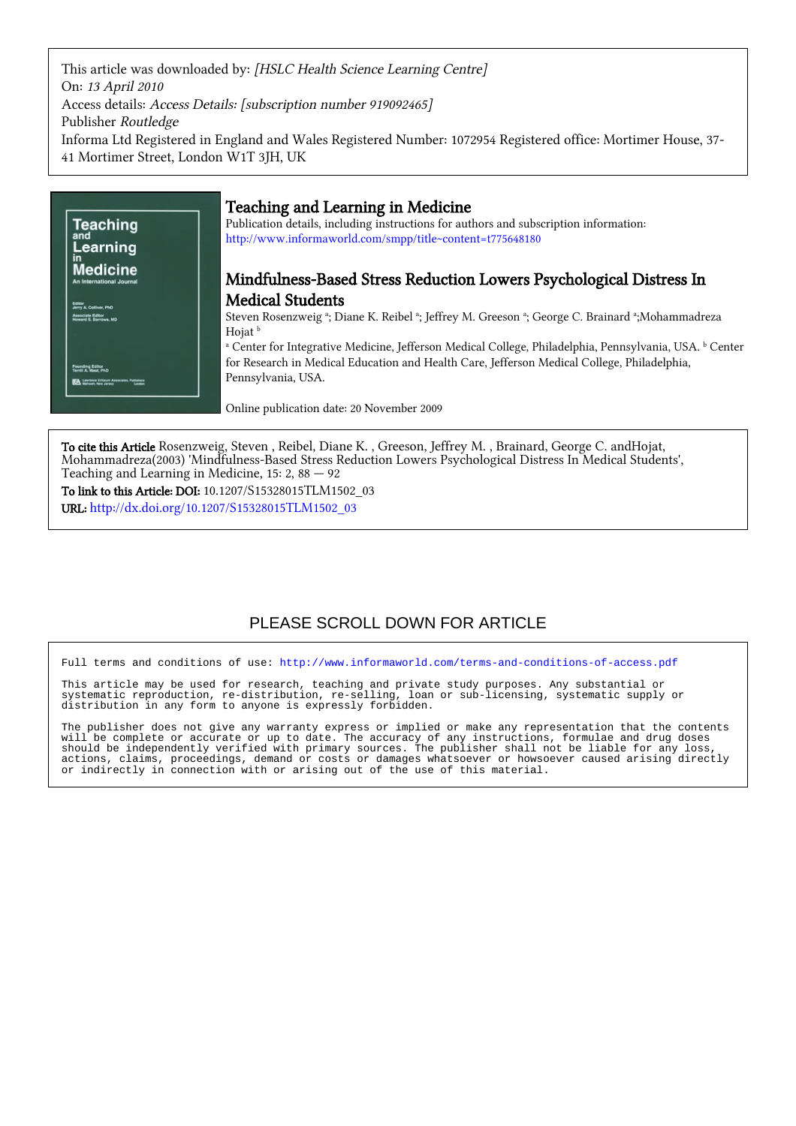This article was downloaded by: [HSLC Health Science Learning Centre] On: 13 April 2010 Access details: Access Details: [subscription number 919092465] Publisher Routledge Informa Ltd Registered in England and Wales Registered Number: 1072954 Registered office: Mortimer House, 37- 41 Mortimer Street, London W1T 3JH, UK



# Teaching and Learning in Medicine

Publication details, including instructions for authors and subscription information: <http://www.informaworld.com/smpp/title~content=t775648180>

## Mindfulness-Based Stress Reduction Lowers Psychological Distress In Medical Students

Steven Rosenzweig <sup>a</sup>; Diane K. Reibel <sup>a</sup>; Jeffrey M. Greeson <sup>a</sup>; George C. Brainard <sup>a</sup>;Mohammadreza Hojat b

a Center for Integrative Medicine, Jefferson Medical College, Philadelphia, Pennsylvania, USA. <sup>b</sup> Center هو ال for Research in Medical Education and Health Care, Jefferson Medical College, Philadelphia, Pennsylvania, USA.

Online publication date: 20 November 2009

To cite this Article Rosenzweig, Steven , Reibel, Diane K. , Greeson, Jeffrey M. , Brainard, George C. andHojat, Mohammadreza(2003) 'Mindfulness-Based Stress Reduction Lowers Psychological Distress In Medical Students', Teaching and Learning in Medicine, 15: 2, 88 — 92

To link to this Article: DOI: 10.1207/S15328015TLM1502\_03 URL: [http://dx.doi.org/10.1207/S15328015TLM1502\\_03](http://dx.doi.org/10.1207/S15328015TLM1502_03)

# PLEASE SCROLL DOWN FOR ARTICLE

Full terms and conditions of use:<http://www.informaworld.com/terms-and-conditions-of-access.pdf>

This article may be used for research, teaching and private study purposes. Any substantial or systematic reproduction, re-distribution, re-selling, loan or sub-licensing, systematic supply or distribution in any form to anyone is expressly forbidden.

The publisher does not give any warranty express or implied or make any representation that the contents will be complete or accurate or up to date. The accuracy of any instructions, formulae and drug doses should be independently verified with primary sources. The publisher shall not be liable for any loss, actions, claims, proceedings, demand or costs or damages whatsoever or howsoever caused arising directly or indirectly in connection with or arising out of the use of this material.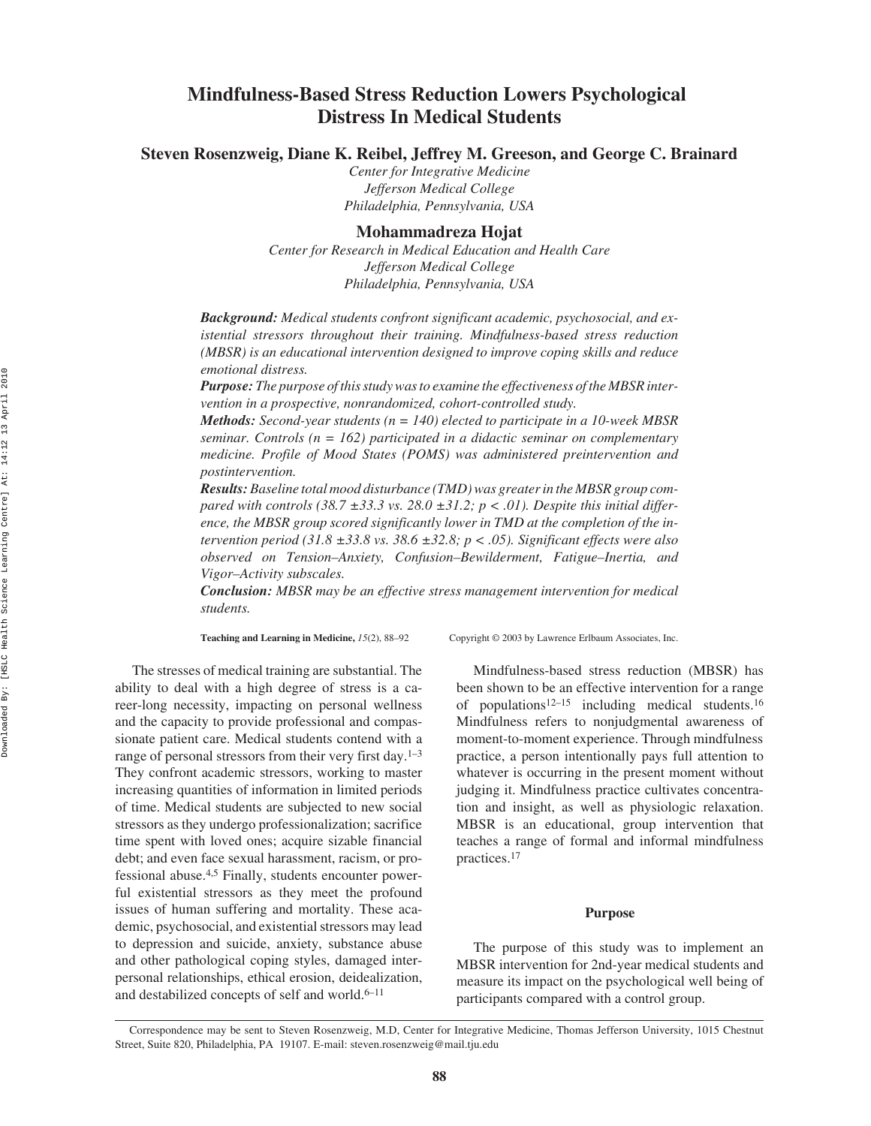# **Mindfulness-Based Stress Reduction Lowers Psychological Distress In Medical Students**

**Steven Rosenzweig, Diane K. Reibel, Jeffrey M. Greeson, and George C. Brainard**

*Center for Integrative Medicine Jefferson Medical College Philadelphia, Pennsylvania, USA*

## **Mohammadreza Hojat**

*Center for Research in Medical Education and Health Care Jefferson Medical College Philadelphia, Pennsylvania, USA*

*Background: Medical students confront significant academic, psychosocial, and existential stressors throughout their training. Mindfulness-based stress reduction (MBSR) is an educational intervention designed to improve coping skills and reduce emotional distress.*

*Purpose: The purpose of this study was to examine the effectiveness of the MBSR intervention in a prospective, nonrandomized, cohort-controlled study.*

*Methods: Second-year students (n = 140) elected to participate in a 10-week MBSR seminar. Controls (n = 162) participated in a didactic seminar on complementary medicine. Profile of Mood States (POMS) was administered preintervention and postintervention.*

*Results:Baseline total mood disturbance (TMD) was greater in the MBSR group compared with controls (38.7 ±33.3 vs. 28.0 ±31.2; p < .01). Despite this initial difference, the MBSR group scored significantly lower in TMD at the completion of the intervention period (31.8 ±33.8 vs. 38.6 ±32.8; p < .05). Significant effects were also observed on Tension–Anxiety, Confusion–Bewilderment, Fatigue–Inertia, and Vigor–Activity subscales.*

*Conclusion: MBSR may be an effective stress management intervention for medical students.*

Teaching and Learning in Medicine,  $15(2)$ ,  $88-92$  Copyright © 2003 by Lawrence Erlbaum Associates, Inc.

The stresses of medical training are substantial. The ability to deal with a high degree of stress is a career-long necessity, impacting on personal wellness and the capacity to provide professional and compassionate patient care. Medical students contend with a range of personal stressors from their very first day.<sup>1-3</sup> They confront academic stressors, working to master increasing quantities of information in limited periods of time. Medical students are subjected to new social stressors as they undergo professionalization; sacrifice time spent with loved ones; acquire sizable financial debt; and even face sexual harassment, racism, or professional abuse.4,5 Finally, students encounter powerful existential stressors as they meet the profound issues of human suffering and mortality. These academic, psychosocial, and existential stressors may lead to depression and suicide, anxiety, substance abuse and other pathological coping styles, damaged interpersonal relationships, ethical erosion, deidealization, and destabilized concepts of self and world. $6-11$ 

Mindfulness-based stress reduction (MBSR) has been shown to be an effective intervention for a range of populations<sup>12–15</sup> including medical students.<sup>16</sup> Mindfulness refers to nonjudgmental awareness of moment-to-moment experience. Through mindfulness practice, a person intentionally pays full attention to whatever is occurring in the present moment without judging it. Mindfulness practice cultivates concentration and insight, as well as physiologic relaxation. MBSR is an educational, group intervention that teaches a range of formal and informal mindfulness practices.17

## **Purpose**

The purpose of this study was to implement an MBSR intervention for 2nd-year medical students and measure its impact on the psychological well being of participants compared with a control group.

Correspondence may be sent to Steven Rosenzweig, M.D, Center for Integrative Medicine, Thomas Jefferson University, 1015 Chestnut Street, Suite 820, Philadelphia, PA 19107. E-mail: steven.rosenzweig@mail.tju.edu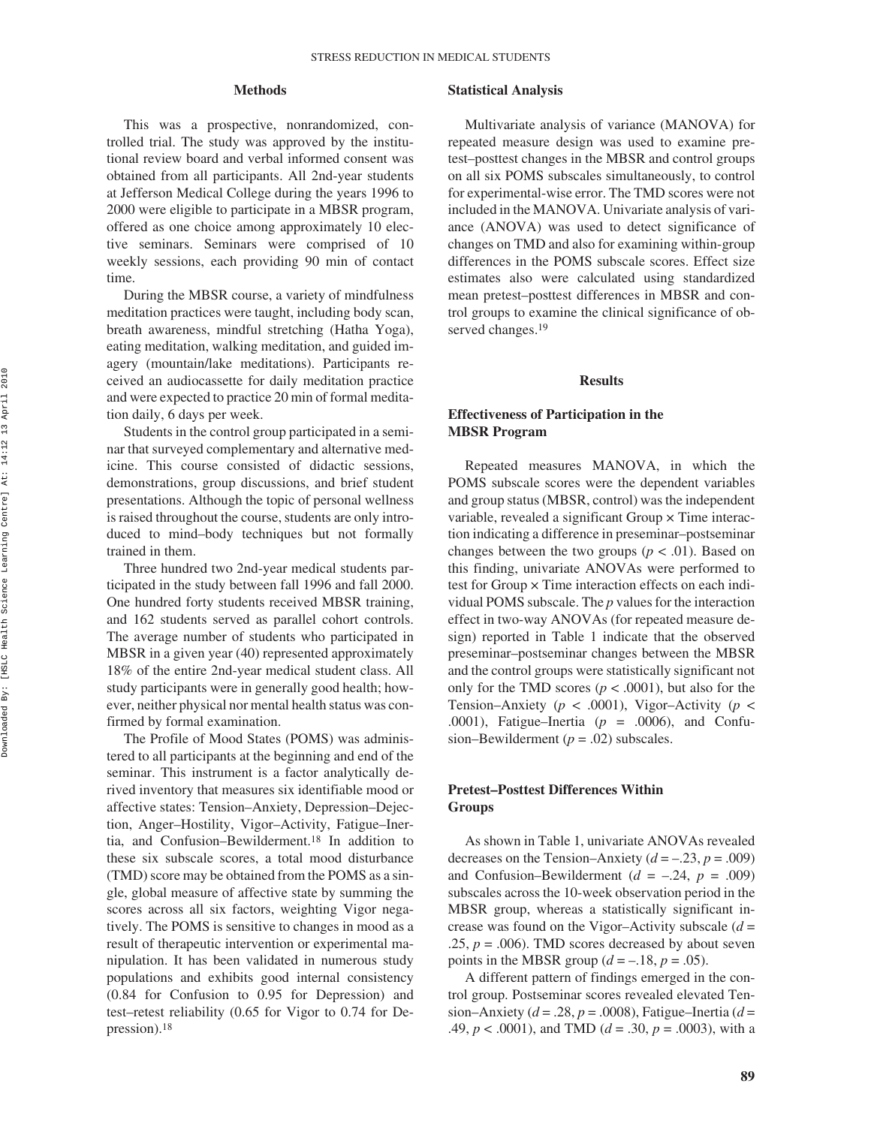#### **Methods**

This was a prospective, nonrandomized, controlled trial. The study was approved by the institutional review board and verbal informed consent was obtained from all participants. All 2nd-year students at Jefferson Medical College during the years 1996 to 2000 were eligible to participate in a MBSR program, offered as one choice among approximately 10 elective seminars. Seminars were comprised of 10 weekly sessions, each providing 90 min of contact time.

During the MBSR course, a variety of mindfulness meditation practices were taught, including body scan, breath awareness, mindful stretching (Hatha Yoga), eating meditation, walking meditation, and guided imagery (mountain/lake meditations). Participants received an audiocassette for daily meditation practice and were expected to practice 20 min of formal meditation daily, 6 days per week.

Students in the control group participated in a seminar that surveyed complementary and alternative medicine. This course consisted of didactic sessions, demonstrations, group discussions, and brief student presentations. Although the topic of personal wellness is raised throughout the course, students are only introduced to mind–body techniques but not formally trained in them.

Three hundred two 2nd-year medical students participated in the study between fall 1996 and fall 2000. One hundred forty students received MBSR training, and 162 students served as parallel cohort controls. The average number of students who participated in MBSR in a given year (40) represented approximately 18% of the entire 2nd-year medical student class. All study participants were in generally good health; however, neither physical nor mental health status was confirmed by formal examination.

The Profile of Mood States (POMS) was administered to all participants at the beginning and end of the seminar. This instrument is a factor analytically derived inventory that measures six identifiable mood or affective states: Tension–Anxiety, Depression–Dejection, Anger–Hostility, Vigor–Activity, Fatigue–Inertia, and Confusion–Bewilderment.18 In addition to these six subscale scores, a total mood disturbance (TMD) score may be obtained from the POMS as a single, global measure of affective state by summing the scores across all six factors, weighting Vigor negatively. The POMS is sensitive to changes in mood as a result of therapeutic intervention or experimental manipulation. It has been validated in numerous study populations and exhibits good internal consistency (0.84 for Confusion to 0.95 for Depression) and test–retest reliability (0.65 for Vigor to 0.74 for Depression).18

#### **Statistical Analysis**

Multivariate analysis of variance (MANOVA) for repeated measure design was used to examine pretest–posttest changes in the MBSR and control groups on all six POMS subscales simultaneously, to control for experimental-wise error. The TMD scores were not included in the MANOVA. Univariate analysis of variance (ANOVA) was used to detect significance of changes on TMD and also for examining within-group differences in the POMS subscale scores. Effect size estimates also were calculated using standardized mean pretest–posttest differences in MBSR and control groups to examine the clinical significance of observed changes.<sup>19</sup>

#### **Results**

## **Effectiveness of Participation in the MBSR Program**

Repeated measures MANOVA, in which the POMS subscale scores were the dependent variables and group status (MBSR, control) was the independent variable, revealed a significant Group  $\times$  Time interaction indicating a difference in preseminar–postseminar changes between the two groups ( $p < .01$ ). Based on this finding, univariate ANOVAs were performed to test for Group × Time interaction effects on each individual POMS subscale. The *p* values for the interaction effect in two-way ANOVAs (for repeated measure design) reported in Table 1 indicate that the observed preseminar–postseminar changes between the MBSR and the control groups were statistically significant not only for the TMD scores ( $p < .0001$ ), but also for the Tension–Anxiety (*p* < .0001), Vigor–Activity (*p* < .0001), Fatigue–Inertia (*p* = .0006), and Confusion–Bewilderment  $(p = .02)$  subscales.

## **Pretest–Posttest Differences Within Groups**

As shown in Table 1, univariate ANOVAs revealed decreases on the Tension–Anxiety  $(d = -0.23, p = .009)$ and Confusion–Bewilderment  $(d = -.24, p = .009)$ subscales across the 10-week observation period in the MBSR group, whereas a statistically significant increase was found on the Vigor–Activity subscale (*d* = .25,  $p = .006$ ). TMD scores decreased by about seven points in the MBSR group  $(d = -.18, p = .05)$ .

A different pattern of findings emerged in the control group. Postseminar scores revealed elevated Tension–Anxiety ( $d = .28$ ,  $p = .0008$ ), Fatigue–Inertia ( $d =$ .49, *p* < .0001), and TMD (*d* = .30, *p* = .0003), with a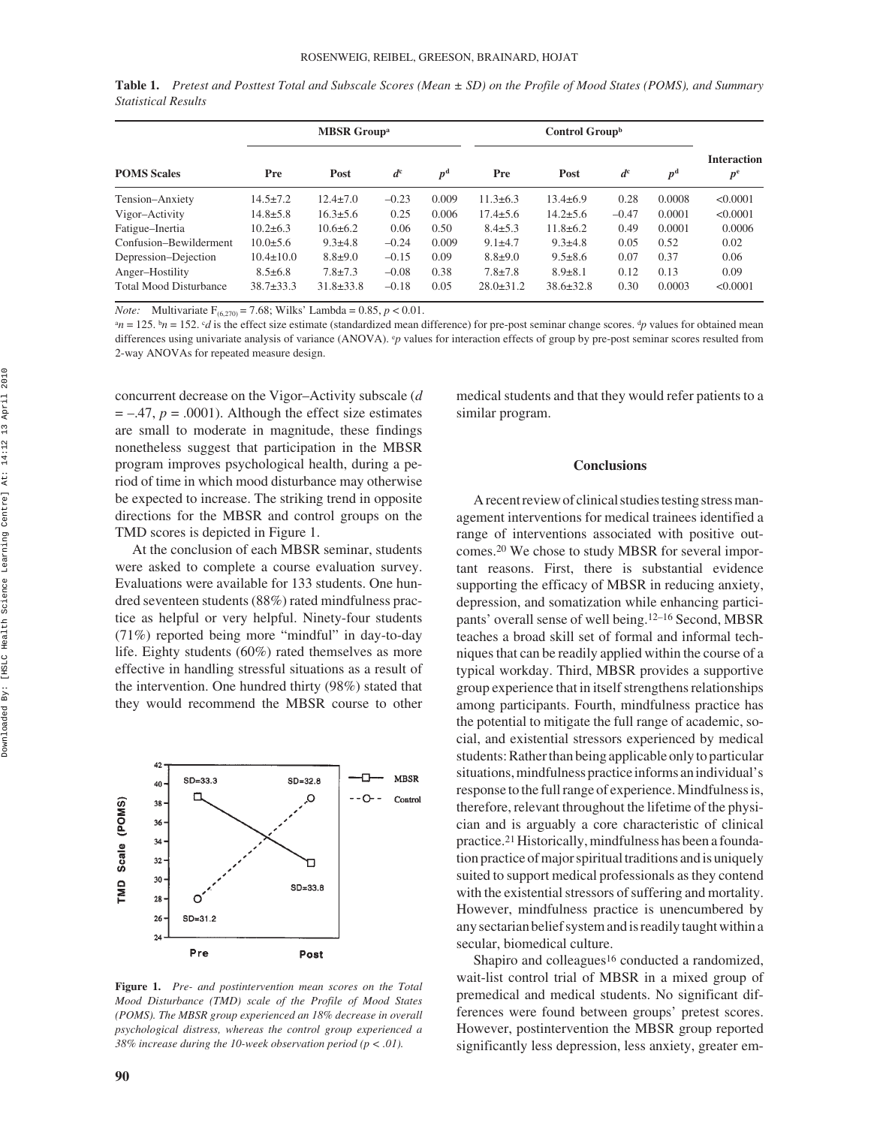| <b>POMS Scales</b>            | <b>MBSR</b> Group <sup>a</sup> |                 |         |             | Control Group <sup>b</sup> |                 |         |             |                                      |
|-------------------------------|--------------------------------|-----------------|---------|-------------|----------------------------|-----------------|---------|-------------|--------------------------------------|
|                               | Pre                            | Post            | $d^c$   | $p^{\rm d}$ | Pre                        | Post            | $d^c$   | $p^{\rm d}$ | <b>Interaction</b><br>p <sup>e</sup> |
| Tension-Anxiety               | $14.5 \pm 7.2$                 | $12.4 \pm 7.0$  | $-0.23$ | 0.009       | $11.3 \pm 6.3$             | $13.4\pm 6.9$   | 0.28    | 0.0008      | < 0.0001                             |
| Vigor-Activity                | $14.8 \pm 5.8$                 | $16.3 \pm 5.6$  | 0.25    | 0.006       | $17.4 \pm 5.6$             | $14.2 \pm 5.6$  | $-0.47$ | 0.0001      | < 0.0001                             |
| Fatigue–Inertia               | $10.2 \pm 6.3$                 | $10.6 \pm 6.2$  | 0.06    | 0.50        | $8.4 \pm 5.3$              | $11.8 \pm 6.2$  | 0.49    | 0.0001      | 0.0006                               |
| Confusion–Bewilderment        | $10.0 \pm 5.6$                 | $9.3 + 4.8$     | $-0.24$ | 0.009       | $9.1 + 4.7$                | $9.3 + 4.8$     | 0.05    | 0.52        | 0.02                                 |
| Depression–Dejection          | $10.4 \pm 10.0$                | $8.8 \pm 9.0$   | $-0.15$ | 0.09        | $8.8 + 9.0$                | $9.5 \pm 8.6$   | 0.07    | 0.37        | 0.06                                 |
| Anger-Hostility               | $8.5 \pm 6.8$                  | $7.8 \pm 7.3$   | $-0.08$ | 0.38        | $7.8 \pm 7.8$              | $8.9 \pm 8.1$   | 0.12    | 0.13        | 0.09                                 |
| <b>Total Mood Disturbance</b> | $38.7 \pm 33.3$                | $31.8 \pm 33.8$ | $-0.18$ | 0.05        | $28.0 \pm 31.2$            | $38.6 \pm 32.8$ | 0.30    | 0.0003      | < 0.0001                             |

**Table 1.** *Pretest and Posttest Total and Subscale Scores (Mean ± SD) on the Profile of Mood States (POMS), and Summary Statistical Results*

*Note:* Multivariate  $F_{(6,270)} = 7.68$ ; Wilks' Lambda = 0.85,  $p < 0.01$ .

 $a_n = 125$ .  $b_n = 152$ . *d* is the effect size estimate (standardized mean difference) for pre-post seminar change scores. *dp* values for obtained mean differences using univariate analysis of variance (ANOVA). *<sup>e</sup>p* values for interaction effects of group by pre-post seminar scores resulted from 2-way ANOVAs for repeated measure design.

concurrent decrease on the Vigor–Activity subscale (*d*  $= -0.47$ ,  $p = 0.0001$ ). Although the effect size estimates are small to moderate in magnitude, these findings nonetheless suggest that participation in the MBSR program improves psychological health, during a period of time in which mood disturbance may otherwise be expected to increase. The striking trend in opposite directions for the MBSR and control groups on the TMD scores is depicted in Figure 1.

At the conclusion of each MBSR seminar, students were asked to complete a course evaluation survey. Evaluations were available for 133 students. One hundred seventeen students (88%) rated mindfulness practice as helpful or very helpful. Ninety-four students (71%) reported being more "mindful" in day-to-day life. Eighty students (60%) rated themselves as more effective in handling stressful situations as a result of the intervention. One hundred thirty (98%) stated that they would recommend the MBSR course to other



**Figure 1.** *Pre- and postintervention mean scores on the Total Mood Disturbance (TMD) scale of the Profile of Mood States (POMS). The MBSR group experienced an 18% decrease in overall psychological distress, whereas the control group experienced a 38% increase during the 10-week observation period (p < .01).*

medical students and that they would refer patients to a similar program.

#### **Conclusions**

A recent review of clinical studies testing stress management interventions for medical trainees identified a range of interventions associated with positive outcomes.20 We chose to study MBSR for several important reasons. First, there is substantial evidence supporting the efficacy of MBSR in reducing anxiety, depression, and somatization while enhancing participants' overall sense of well being.12–16 Second, MBSR teaches a broad skill set of formal and informal techniques that can be readily applied within the course of a typical workday. Third, MBSR provides a supportive group experience that in itself strengthens relationships among participants. Fourth, mindfulness practice has the potential to mitigate the full range of academic, social, and existential stressors experienced by medical students: Rather than being applicable only to particular situations, mindfulness practice informs an individual's response to the full range of experience. Mindfulness is, therefore, relevant throughout the lifetime of the physician and is arguably a core characteristic of clinical practice.21Historically, mindfulness has been a foundation practice of major spiritual traditions and is uniquely suited to support medical professionals as they contend with the existential stressors of suffering and mortality. However, mindfulness practice is unencumbered by any sectarian belief system and is readily taught within a secular, biomedical culture.

Shapiro and colleagues<sup>16</sup> conducted a randomized, wait-list control trial of MBSR in a mixed group of premedical and medical students. No significant differences were found between groups' pretest scores. However, postintervention the MBSR group reported significantly less depression, less anxiety, greater em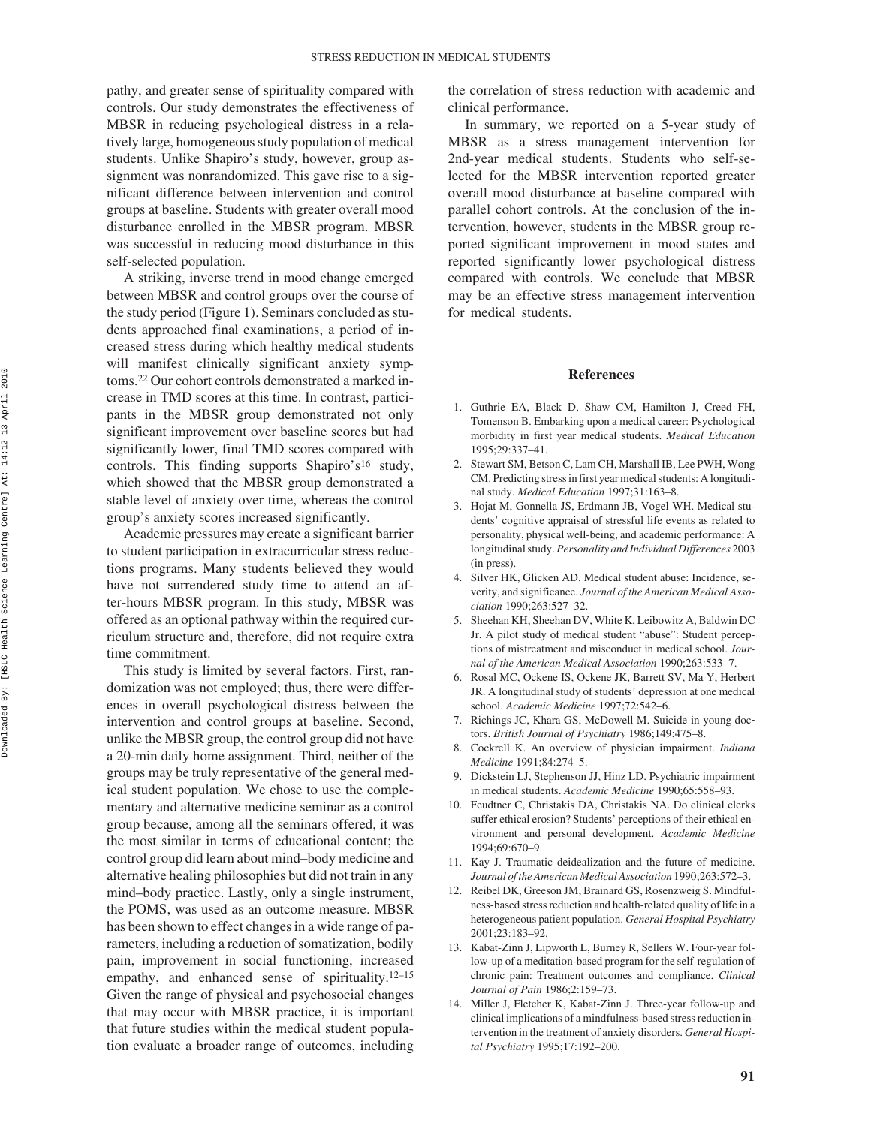pathy, and greater sense of spirituality compared with controls. Our study demonstrates the effectiveness of MBSR in reducing psychological distress in a relatively large, homogeneous study population of medical students. Unlike Shapiro's study, however, group assignment was nonrandomized. This gave rise to a significant difference between intervention and control groups at baseline. Students with greater overall mood disturbance enrolled in the MBSR program. MBSR was successful in reducing mood disturbance in this self-selected population.

A striking, inverse trend in mood change emerged between MBSR and control groups over the course of the study period (Figure 1). Seminars concluded as students approached final examinations, a period of increased stress during which healthy medical students will manifest clinically significant anxiety symptoms.22 Our cohort controls demonstrated a marked increase in TMD scores at this time. In contrast, participants in the MBSR group demonstrated not only significant improvement over baseline scores but had significantly lower, final TMD scores compared with controls. This finding supports Shapiro's<sup>16</sup> study, which showed that the MBSR group demonstrated a stable level of anxiety over time, whereas the control group's anxiety scores increased significantly.

Academic pressures may create a significant barrier to student participation in extracurricular stress reductions programs. Many students believed they would have not surrendered study time to attend an after-hours MBSR program. In this study, MBSR was offered as an optional pathway within the required curriculum structure and, therefore, did not require extra time commitment.

This study is limited by several factors. First, randomization was not employed; thus, there were differences in overall psychological distress between the intervention and control groups at baseline. Second, unlike the MBSR group, the control group did not have a 20-min daily home assignment. Third, neither of the groups may be truly representative of the general medical student population. We chose to use the complementary and alternative medicine seminar as a control group because, among all the seminars offered, it was the most similar in terms of educational content; the control group did learn about mind–body medicine and alternative healing philosophies but did not train in any mind–body practice. Lastly, only a single instrument, the POMS, was used as an outcome measure. MBSR has been shown to effect changes in a wide range of parameters, including a reduction of somatization, bodily pain, improvement in social functioning, increased empathy, and enhanced sense of spirituality.<sup>12–15</sup> Given the range of physical and psychosocial changes that may occur with MBSR practice, it is important that future studies within the medical student population evaluate a broader range of outcomes, including the correlation of stress reduction with academic and clinical performance.

In summary, we reported on a 5-year study of MBSR as a stress management intervention for 2nd-year medical students. Students who self-selected for the MBSR intervention reported greater overall mood disturbance at baseline compared with parallel cohort controls. At the conclusion of the intervention, however, students in the MBSR group reported significant improvement in mood states and reported significantly lower psychological distress compared with controls. We conclude that MBSR may be an effective stress management intervention for medical students.

#### **References**

- 1. Guthrie EA, Black D, Shaw CM, Hamilton J, Creed FH, Tomenson B. Embarking upon a medical career: Psychological morbidity in first year medical students. *Medical Education* 1995;29:337–41.
- 2. Stewart SM, Betson C, Lam CH, Marshall IB, Lee PWH, Wong CM. Predicting stress in first year medical students: A longitudinal study. *Medical Education* 1997;31:163–8.
- 3. Hojat M, Gonnella JS, Erdmann JB, Vogel WH. Medical students' cognitive appraisal of stressful life events as related to personality, physical well-being, and academic performance: A longitudinal study.*Personality and Individual Differences* 2003 (in press).
- 4. Silver HK, Glicken AD. Medical student abuse: Incidence, severity, and significance. *Journal of the American Medical Association* 1990;263:527–32.
- 5. Sheehan KH, Sheehan DV, White K, Leibowitz A, Baldwin DC Jr. A pilot study of medical student "abuse": Student perceptions of mistreatment and misconduct in medical school. *Journal of the American Medical Association* 1990;263:533–7.
- 6. Rosal MC, Ockene IS, Ockene JK, Barrett SV, Ma Y, Herbert JR. A longitudinal study of students' depression at one medical school. *Academic Medicine* 1997;72:542–6.
- 7. Richings JC, Khara GS, McDowell M. Suicide in young doctors. *British Journal of Psychiatry* 1986;149:475–8.
- 8. Cockrell K. An overview of physician impairment. *Indiana Medicine* 1991;84:274–5.
- 9. Dickstein LJ, Stephenson JJ, Hinz LD. Psychiatric impairment in medical students. *Academic Medicine* 1990;65:558–93.
- 10. Feudtner C, Christakis DA, Christakis NA. Do clinical clerks suffer ethical erosion? Students' perceptions of their ethical environment and personal development. *Academic Medicine* 1994;69:670–9.
- 11. Kay J. Traumatic deidealization and the future of medicine. *Journal of the American Medical Association* 1990;263:572–3.
- 12. Reibel DK, Greeson JM, Brainard GS, Rosenzweig S. Mindfulness-based stress reduction and health-related quality of life in a heterogeneous patient population. *General Hospital Psychiatry* 2001;23:183–92.
- 13. Kabat-Zinn J, Lipworth L, Burney R, Sellers W. Four-year follow-up of a meditation-based program for the self-regulation of chronic pain: Treatment outcomes and compliance. *Clinical Journal of Pain* 1986;2:159–73.
- 14. Miller J, Fletcher K, Kabat-Zinn J. Three-year follow-up and clinical implications of a mindfulness-based stress reduction intervention in the treatment of anxiety disorders. *General Hospital Psychiatry* 1995;17:192–200.